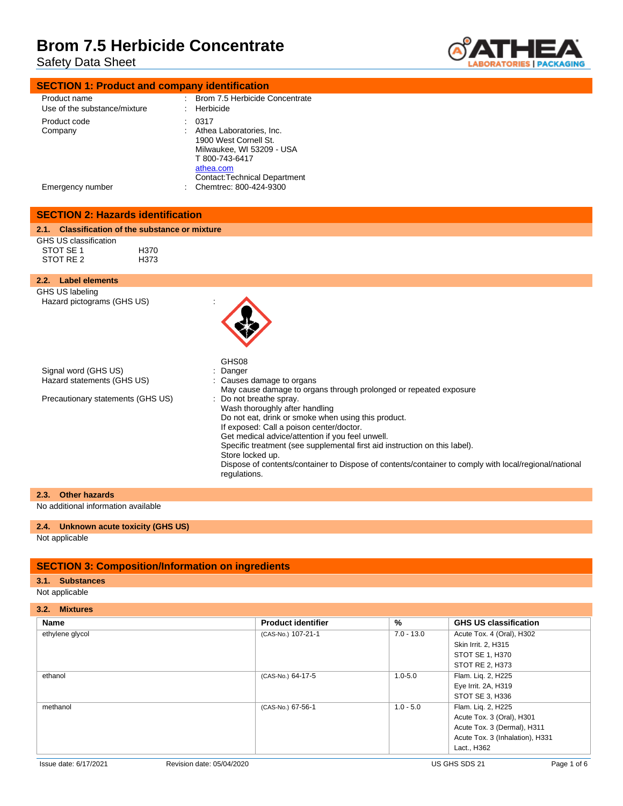Safety Data Sheet



| <b>SECTION 1: Product and company identification</b> |                         |
|------------------------------------------------------|-------------------------|
| Product name                                         | Brom 7.5 Herbicide Cone |

| Product name<br>Use of the substance/mixture | Brom 7.5 Herbicide Concentrate<br>Herbicide<br>t.                                                                                                                                       |
|----------------------------------------------|-----------------------------------------------------------------------------------------------------------------------------------------------------------------------------------------|
| Product code<br>Company<br>Emergency number  | 0317<br>Athea Laboratories, Inc.<br>1900 West Cornell St.<br>Milwaukee, WI 53209 - USA<br>T 800-743-6417<br>athea.com<br><b>Contact: Technical Department</b><br>Chemtrec: 800-424-9300 |
|                                              |                                                                                                                                                                                         |

| <b>SECTION 2: Hazards identification</b>                        |                                                                                                                                                                                                                                                                                                                                                                                                                                                                                                                                               |
|-----------------------------------------------------------------|-----------------------------------------------------------------------------------------------------------------------------------------------------------------------------------------------------------------------------------------------------------------------------------------------------------------------------------------------------------------------------------------------------------------------------------------------------------------------------------------------------------------------------------------------|
| 2.1. Classification of the substance or mixture                 |                                                                                                                                                                                                                                                                                                                                                                                                                                                                                                                                               |
| GHS US classification<br>STOT SE 1<br>STOT RE 2                 | H370<br>H373                                                                                                                                                                                                                                                                                                                                                                                                                                                                                                                                  |
| 2.2. Label elements                                             |                                                                                                                                                                                                                                                                                                                                                                                                                                                                                                                                               |
| GHS US labeling<br>Hazard pictograms (GHS US)                   | GHS08                                                                                                                                                                                                                                                                                                                                                                                                                                                                                                                                         |
| Signal word (GHS US)                                            | : Danger                                                                                                                                                                                                                                                                                                                                                                                                                                                                                                                                      |
| Hazard statements (GHS US)<br>Precautionary statements (GHS US) | : Causes damage to organs<br>May cause damage to organs through prolonged or repeated exposure<br>: Do not breathe spray.<br>Wash thoroughly after handling<br>Do not eat, drink or smoke when using this product.<br>If exposed: Call a poison center/doctor.<br>Get medical advice/attention if you feel unwell.<br>Specific treatment (see supplemental first aid instruction on this label).<br>Store locked up.<br>Dispose of contents/container to Dispose of contents/container to comply with local/regional/national<br>regulations. |

### **2.3. Other hazards**

No additional information available

### **2.4. Unknown acute toxicity (GHS US)**

Not applicable

### **SECTION 3: Composition/Information on ingredients**

### **3.1. Substances**

Not applicable

**3.2. Mixtures**

| <b>Name</b>     | <b>Product identifier</b> | %            | <b>GHS US classification</b>    |
|-----------------|---------------------------|--------------|---------------------------------|
| ethylene glycol | (CAS-No.) 107-21-1        | $7.0 - 13.0$ | Acute Tox. 4 (Oral), H302       |
|                 |                           |              | Skin Irrit. 2, H315             |
|                 |                           |              | STOT SE 1, H370                 |
|                 |                           |              | STOT RE 2, H373                 |
| ethanol         | (CAS-No.) 64-17-5         | $1.0 - 5.0$  | Flam. Lig. 2, H225              |
|                 |                           |              | Eye Irrit. 2A, H319             |
|                 |                           |              | STOT SE 3, H336                 |
| methanol        | (CAS-No.) 67-56-1         | $1.0 - 5.0$  | Flam. Lig. 2, H225              |
|                 |                           |              | Acute Tox. 3 (Oral), H301       |
|                 |                           |              | Acute Tox. 3 (Dermal), H311     |
|                 |                           |              | Acute Tox. 3 (Inhalation), H331 |
|                 |                           |              | Lact., H362                     |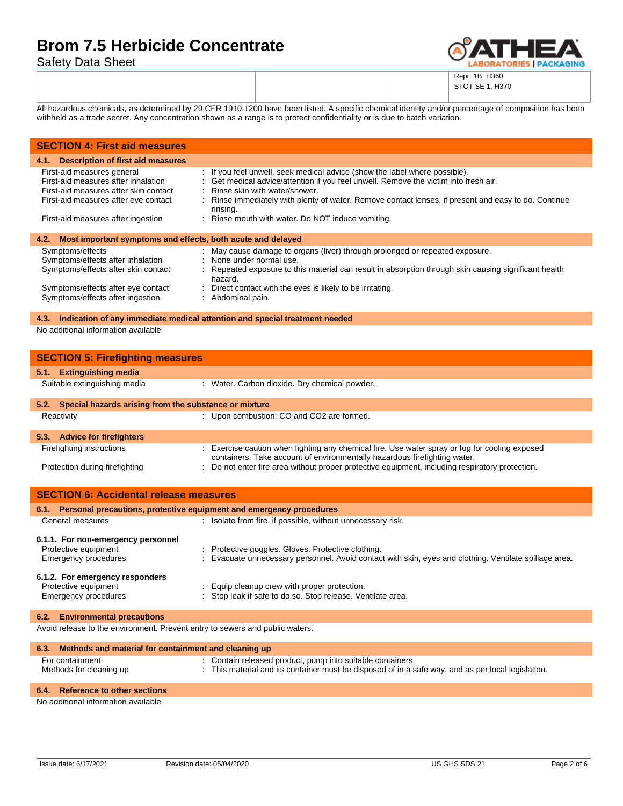Safety Data Sheet



Repr. 1B, H360 STOT SE 1, H370

All hazardous chemicals, as determined by 29 CFR 1910.1200 have been listed. A specific chemical identity and/or percentage of composition has been withheld as a trade secret. Any concentration shown as a range is to protect confidentiality or is due to batch variation.

| <b>SECTION 4: First aid measures</b>                                                                                                               |                                                                                                                                                                                                                                                                                                                           |  |
|----------------------------------------------------------------------------------------------------------------------------------------------------|---------------------------------------------------------------------------------------------------------------------------------------------------------------------------------------------------------------------------------------------------------------------------------------------------------------------------|--|
| 4.1. Description of first aid measures                                                                                                             |                                                                                                                                                                                                                                                                                                                           |  |
| First-aid measures general<br>First-aid measures after inhalation<br>First-aid measures after skin contact<br>First-aid measures after eye contact | : If you feel unwell, seek medical advice (show the label where possible).<br>: Get medical advice/attention if you feel unwell. Remove the victim into fresh air.<br>: Rinse skin with water/shower.<br>: Rinse immediately with plenty of water. Remove contact lenses, if present and easy to do. Continue<br>rinsing. |  |
| First-aid measures after ingestion                                                                                                                 | : Rinse mouth with water. Do NOT induce vomiting.                                                                                                                                                                                                                                                                         |  |
| Most important symptoms and effects, both acute and delayed<br>4.2.                                                                                |                                                                                                                                                                                                                                                                                                                           |  |
| Symptoms/effects<br>Symptoms/effects after inhalation<br>Symptoms/effects after skin contact                                                       | : May cause damage to organs (liver) through prolonged or repeated exposure.<br>: None under normal use.<br>: Repeated exposure to this material can result in absorption through skin causing significant health<br>hazard.                                                                                              |  |
| Symptoms/effects after eye contact<br>Symptoms/effects after ingestion                                                                             | : Direct contact with the eyes is likely to be irritating.<br>: Abdominal pain.                                                                                                                                                                                                                                           |  |

### **4.3. Indication of any immediate medical attention and special treatment needed**

No additional information available

| <b>SECTION 5: Firefighting measures</b>                                                                                                                                     |  |  |
|-----------------------------------------------------------------------------------------------------------------------------------------------------------------------------|--|--|
|                                                                                                                                                                             |  |  |
| : Water. Carbon dioxide. Dry chemical powder.                                                                                                                               |  |  |
| 5.2. Special hazards arising from the substance or mixture                                                                                                                  |  |  |
| : Upon combustion: CO and CO2 are formed.                                                                                                                                   |  |  |
|                                                                                                                                                                             |  |  |
| : Exercise caution when fighting any chemical fire. Use water spray or fog for cooling exposed<br>containers. Take account of environmentally hazardous firefighting water. |  |  |
| : Do not enter fire area without proper protective equipment, including respiratory protection.                                                                             |  |  |
| <b>SECTION 6: Accidental release measures</b>                                                                                                                               |  |  |
| 6.1. Personal precautions, protective equipment and emergency procedures                                                                                                    |  |  |
| : Isolate from fire, if possible, without unnecessary risk.                                                                                                                 |  |  |
|                                                                                                                                                                             |  |  |
| : Protective goggles. Gloves. Protective clothing.                                                                                                                          |  |  |
| : Evacuate unnecessary personnel. Avoid contact with skin, eyes and clothing. Ventilate spillage area.                                                                      |  |  |
| Equip cleanup crew with proper protection.                                                                                                                                  |  |  |
|                                                                                                                                                                             |  |  |

#### **6.2. Environmental precautions**

Avoid release to the environment. Prevent entry to sewers and public waters.

| 6.3. Methods and material for containment and cleaning up |                                                                                                    |
|-----------------------------------------------------------|----------------------------------------------------------------------------------------------------|
| For containment                                           | : Contain released product, pump into suitable containers.                                         |
| Methods for cleaning up                                   | : This material and its container must be disposed of in a safe way, and as per local legislation. |

: Equip cleanup crew with proper protection.

### **6.4. Reference to other sections**

No additional information available

Emergency procedures : Stop leak if safe to do so. Stop release. Ventilate area.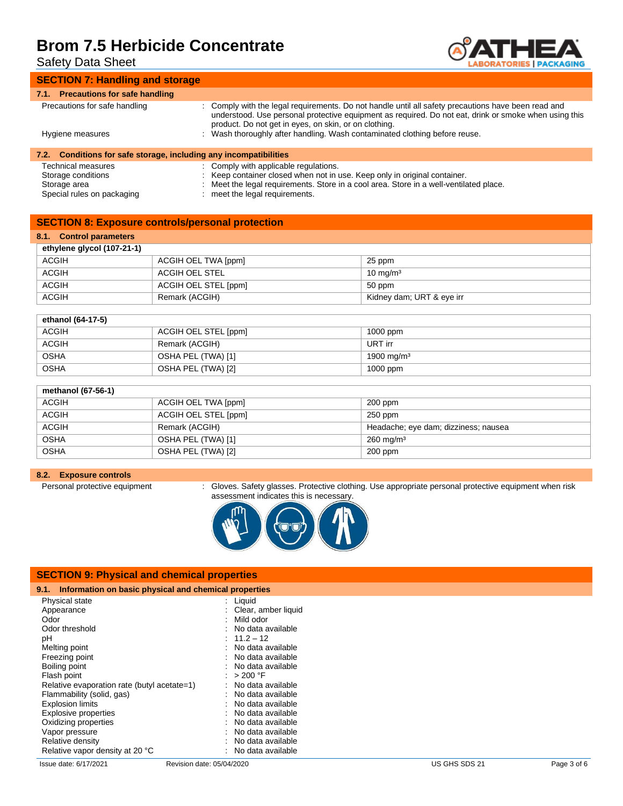Safety Data Sheet



### **SECTION 7: Handling and storage**

| 7.1. Precautions for safe handling                                |                                                                                                                                                                                                                                                                       |
|-------------------------------------------------------------------|-----------------------------------------------------------------------------------------------------------------------------------------------------------------------------------------------------------------------------------------------------------------------|
| Precautions for safe handling                                     | : Comply with the legal requirements. Do not handle until all safety precautions have been read and<br>understood. Use personal protective equipment as required. Do not eat, drink or smoke when using this<br>product. Do not get in eyes, on skin, or on clothing. |
| Hygiene measures                                                  | : Wash thoroughly after handling. Wash contaminated clothing before reuse.                                                                                                                                                                                            |
| 7.2. Conditions for safe storage, including any incompatibilities |                                                                                                                                                                                                                                                                       |
| <b>Technical measures</b>                                         | : Comply with applicable regulations.                                                                                                                                                                                                                                 |
| Storage conditions                                                | Keep container closed when not in use. Keep only in original container.                                                                                                                                                                                               |
| Storage area                                                      | $\cdot$ Moot the legal requirements. Store in a seel area. Store in a well ventilated place.                                                                                                                                                                          |

- Storage area : Meet the legal requirements. Store in a cool area. Store in a well-ventilated place. : meet the legal requirements.
	-

### **SECTION 8: Exposure controls/personal protection**

## **8.1. Control parameters**

| ethylene glycol (107-21-1) |                      |                           |  |
|----------------------------|----------------------|---------------------------|--|
| <b>ACGIH</b>               | ACGIH OEL TWA [ppm]  | 25 ppm                    |  |
| <b>ACGIH</b>               | ACGIH OEL STEL       | $10 \text{ mg/m}^3$       |  |
| <b>ACGIH</b>               | ACGIH OEL STEL [ppm] | 50 ppm                    |  |
| <b>ACGIH</b>               | Remark (ACGIH)       | Kidney dam; URT & eye irr |  |

| ethanol (64-17-5) |                      |                        |
|-------------------|----------------------|------------------------|
| <b>ACGIH</b>      | ACGIH OEL STEL [ppm] | $1000$ ppm             |
| <b>ACGIH</b>      | Remark (ACGIH)       | URT irr                |
| <b>OSHA</b>       | OSHA PEL (TWA) [1]   | 1900 mg/m <sup>3</sup> |
| <b>OSHA</b>       | OSHA PEL (TWA) [2]   | $1000$ ppm             |

| methanol (67-56-1) |                      |                                      |  |
|--------------------|----------------------|--------------------------------------|--|
| <b>ACGIH</b>       | ACGIH OEL TWA [ppm]  | $200$ ppm                            |  |
| <b>ACGIH</b>       | ACGIH OEL STEL [ppm] | $250$ ppm                            |  |
| <b>ACGIH</b>       | Remark (ACGIH)       | Headache; eye dam; dizziness; nausea |  |
| <b>OSHA</b>        | OSHA PEL (TWA) [1]   | $260 \text{ mg/m}^3$                 |  |
| <b>OSHA</b>        | OSHA PEL (TWA) [2]   | $200$ ppm                            |  |

### **8.2. Exposure controls**

Personal protective equipment : Gloves. Safety glasses. Protective clothing. Use appropriate personal protective equipment when risk assessment indicates this is necessary.



| 9.1. Information on basic physical and chemical properties |                     |
|------------------------------------------------------------|---------------------|
| Physical state                                             | : Liquid            |
| Appearance                                                 | Clear, amber liquid |
| Odor                                                       | Mild odor           |
| Odor threshold                                             | No data available   |
| рH                                                         | $: 11.2 - 12$       |
| Melting point                                              | : No data available |
| Freezing point                                             | : No data available |
| Boiling point                                              | No data available   |
| Flash point                                                | > 200 °F            |
| Relative evaporation rate (butyl acetate=1)                | No data available   |
| Flammability (solid, gas)                                  | No data available   |
| <b>Explosion limits</b>                                    | No data available   |
| <b>Explosive properties</b>                                | No data available   |
| Oxidizing properties                                       | No data available   |
| Vapor pressure                                             | No data available   |
| Relative density                                           | No data available   |
| Relative vapor density at 20 °C                            | No data available   |

**SECTION 9: Physical and chemical properties**

Issue date: 6/17/2021 Revision date: 05/04/2020 US GHS SDS 21 Page 3 of 6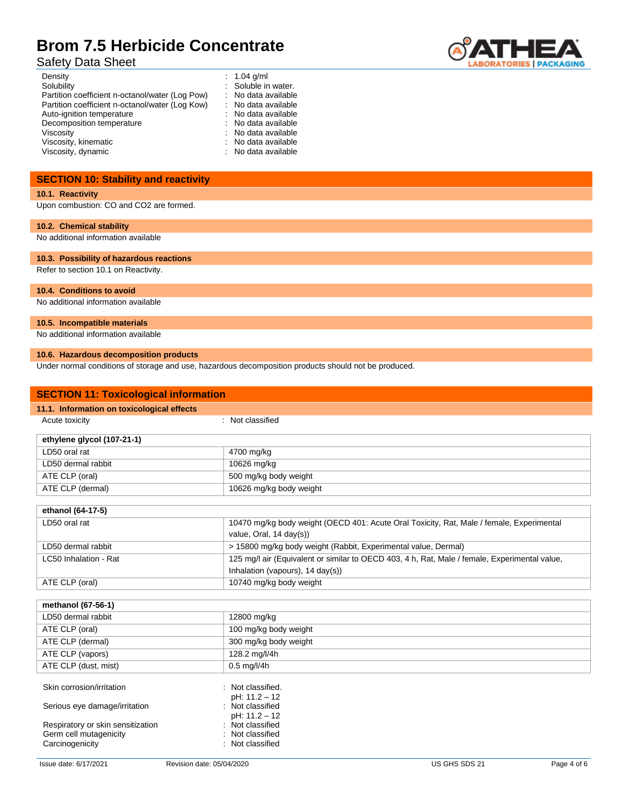# Safety Data Sheet



| Density                                         | : $1.04$ g/ml       |
|-------------------------------------------------|---------------------|
| Solubility                                      | : Soluble in water. |
| Partition coefficient n-octanol/water (Log Pow) | : No data available |
| Partition coefficient n-octanol/water (Log Kow) | : No data available |
| Auto-ignition temperature                       | : No data available |
| Decomposition temperature                       | : No data available |
| Viscosity                                       | : No data available |
| Viscosity, kinematic                            | : No data available |
| Viscosity, dynamic                              | : No data available |

# **SECTION 10: Stability and reactivity**

### **10.1. Reactivity**

Upon combustion: CO and CO2 are formed.

#### **10.2. Chemical stability**

No additional information available

### **10.3. Possibility of hazardous reactions**

Refer to section 10.1 on Reactivity.

#### **10.4. Conditions to avoid**

No additional information available

#### **10.5. Incompatible materials**

No additional information available

### **10.6. Hazardous decomposition products**

Under normal conditions of storage and use, hazardous decomposition products should not be produced.

| <b>SECTION 11: Toxicological information</b> |                                                                                               |  |
|----------------------------------------------|-----------------------------------------------------------------------------------------------|--|
| 11.1. Information on toxicological effects   |                                                                                               |  |
| Acute toxicity                               | : Not classified                                                                              |  |
| ethylene glycol (107-21-1)                   |                                                                                               |  |
| LD50 oral rat                                | 4700 mg/kg                                                                                    |  |
| LD50 dermal rabbit                           | 10626 mg/kg                                                                                   |  |
| ATE CLP (oral)                               | 500 mg/kg body weight                                                                         |  |
| ATE CLP (dermal)                             | 10626 mg/kg body weight                                                                       |  |
|                                              |                                                                                               |  |
| ethanol (64-17-5)                            |                                                                                               |  |
| LD50 oral rat                                | 10470 mg/kg body weight (OECD 401: Acute Oral Toxicity, Rat, Male / female, Experimental      |  |
|                                              | value, Oral, $14 \text{ day}(s)$ )                                                            |  |
| LD50 dermal rabbit                           | > 15800 mg/kg body weight (Rabbit, Experimental value, Dermal)                                |  |
| LC50 Inhalation - Rat                        | 125 mg/l air (Equivalent or similar to OECD 403, 4 h, Rat, Male / female, Experimental value, |  |
|                                              | Inhalation (vapours), 14 day(s))                                                              |  |
| ATE CLP (oral)                               | 10740 mg/kg body weight                                                                       |  |

| methanol (67-56-1)                                          |                                      |
|-------------------------------------------------------------|--------------------------------------|
| LD50 dermal rabbit                                          | 12800 mg/kg                          |
| ATE CLP (oral)                                              | 100 mg/kg body weight                |
| ATE CLP (dermal)                                            | 300 mg/kg body weight                |
| ATE CLP (vapors)                                            | 128.2 mg/l/4h                        |
| ATE CLP (dust, mist)                                        | $0.5$ mg/l/4h                        |
| Skin corrosion/irritation                                   | : Not classified.<br>pH: 11.2 - 12   |
| Serious eye damage/irritation                               | : Not classified<br>pH: 11.2 - 12    |
| Respiratory or skin sensitization<br>Germ cell mutagenicity | : Not classified<br>: Not classified |
| Carcinogenicity                                             | : Not classified                     |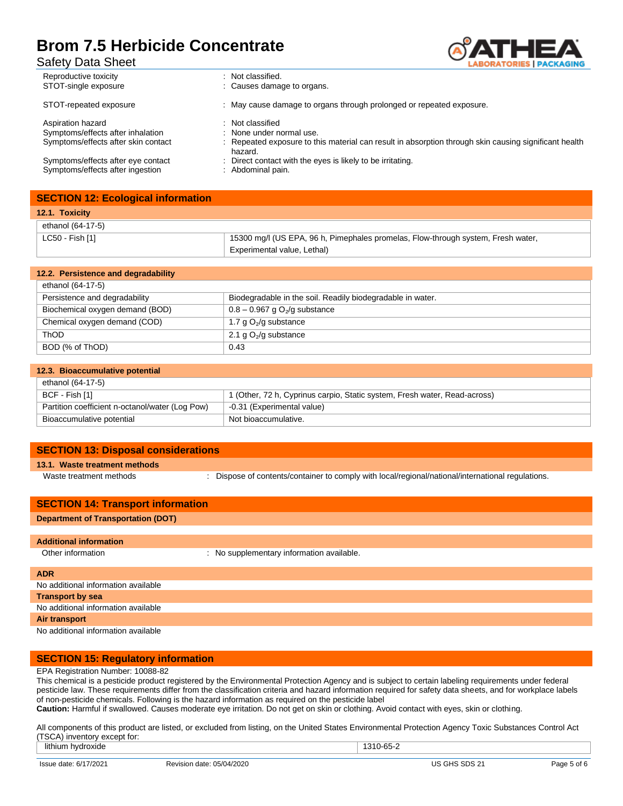BORATORIES | PACKAGING

| Reproductive toxicity                                                                         | : Not classified.                                                                                                                                                |
|-----------------------------------------------------------------------------------------------|------------------------------------------------------------------------------------------------------------------------------------------------------------------|
| STOT-single exposure                                                                          | : Causes damage to organs.                                                                                                                                       |
| STOT-repeated exposure                                                                        | : May cause damage to organs through prolonged or repeated exposure.                                                                                             |
| Aspiration hazard<br>Symptoms/effects after inhalation<br>Symptoms/effects after skin contact | : Not classified<br>: None under normal use.<br>: Repeated exposure to this material can result in absorption through skin causing significant health<br>hazard. |
| Symptoms/effects after eye contact                                                            | : Direct contact with the eyes is likely to be irritating.                                                                                                       |
| Symptoms/effects after ingestion                                                              | : Abdominal pain.                                                                                                                                                |

|                 | <b>SECTION 12: Ecological information</b> |                                                                                  |
|-----------------|-------------------------------------------|----------------------------------------------------------------------------------|
|                 | 12.1. Toxicity                            |                                                                                  |
|                 | ethanol (64-17-5)                         |                                                                                  |
| LC50 - Fish [1] |                                           | 15300 mg/l (US EPA, 96 h, Pimephales promelas, Flow-through system, Fresh water, |
|                 |                                           | Experimental value, Lethal)                                                      |

| 12.2. Persistence and degradability |                                                            |
|-------------------------------------|------------------------------------------------------------|
| ethanol (64-17-5)                   |                                                            |
| Persistence and degradability       | Biodegradable in the soil. Readily biodegradable in water. |
| Biochemical oxygen demand (BOD)     | $0.8 - 0.967$ g O <sub>2</sub> /g substance                |
| Chemical oxygen demand (COD)        | 1.7 g $O_2$ /g substance                                   |
| <b>ThOD</b>                         | 2.1 g $O_2$ /g substance                                   |
| BOD (% of ThOD)                     | 0.43                                                       |

| 12.3. Bioaccumulative potential                 |                                                                           |
|-------------------------------------------------|---------------------------------------------------------------------------|
| ethanol (64-17-5)                               |                                                                           |
| BCF - Fish [1]                                  | 1 (Other, 72 h, Cyprinus carpio, Static system, Fresh water, Read-across) |
| Partition coefficient n-octanol/water (Log Pow) | -0.31 (Experimental value)                                                |
| Bioaccumulative potential                       | Not bioaccumulative.                                                      |

| <b>SECTION 13: Disposal considerations</b> |
|--------------------------------------------|
|--------------------------------------------|

**13.1. Waste treatment methods**

Waste treatment methods : Dispose of contents/container to comply with local/regional/national/international regulations.

| <b>SECTION 14: Transport information</b>  |                                           |  |
|-------------------------------------------|-------------------------------------------|--|
| <b>Department of Transportation (DOT)</b> |                                           |  |
|                                           |                                           |  |
| <b>Additional information</b>             |                                           |  |
| Other information                         | : No supplementary information available. |  |
|                                           |                                           |  |
| <b>ADR</b>                                |                                           |  |
| No additional information available       |                                           |  |
| <b>Transport by sea</b>                   |                                           |  |
| No additional information available       |                                           |  |
| Air transport                             |                                           |  |
| No additional information available       |                                           |  |

### **SECTION 15: Regulatory information**

EPA Registration Number: 10088-82

This chemical is a pesticide product registered by the Environmental Protection Agency and is subject to certain labeling requirements under federal pesticide law. These requirements differ from the classification criteria and hazard information required for safety data sheets, and for workplace labels of non-pesticide chemicals. Following is the hazard information as required on the pesticide label **Caution:** Harmful if swallowed. Causes moderate eye irritation. Do not get on skin or clothing. Avoid contact with eyes, skin or clothing.

All components of this product are listed, or excluded from listing, on the United States Environmental Protection Agency Toxic Substances Control Act (TSCA) inventory except for:

| ithiu<br>hvdroxid⊾<br>uvine      |                                                                  | 00 L |             |
|----------------------------------|------------------------------------------------------------------|------|-------------|
| 7/2021<br><b>LCCLIC</b><br>ાતાત. | ח/⊼ר<br>Revision<br>date:<br>$\overline{M}$<br>05/04/2020<br>161 |      | ימטי<br>auc |